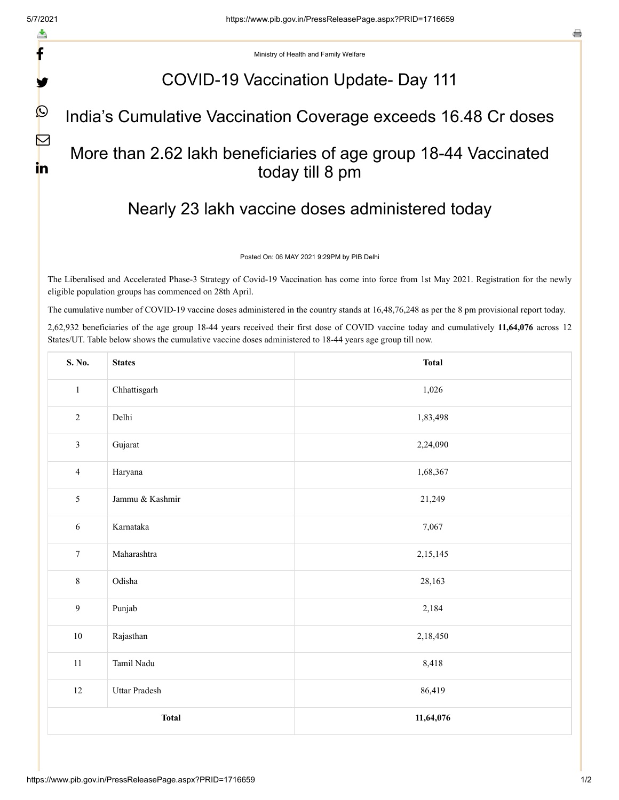f

y

 $\mathbf{\Omega}$ 

 $\nabla$ 

in

e

Ministry of Health and Family Welfare

### COVID-19 Vaccination Update- Day 111

### India's Cumulative Vaccination Coverage exceeds 16.48 Cr doses

## More than 2.62 lakh beneficiaries of age group 18-44 Vaccinated today till 8 pm

# Nearly 23 lakh vaccine doses administered today

#### Posted On: 06 MAY 2021 9:29PM by PIB Delhi

The Liberalised and Accelerated Phase-3 Strategy of Covid-19 Vaccination has come into force from 1st May 2021. Registration for the newly eligible population groups has commenced on 28th April.

The cumulative number of COVID-19 vaccine doses administered in the country stands at 16,48,76,248 as per the 8 pm provisional report today.

2,62,932 beneficiaries of the age group 18-44 years received their first dose of COVID vaccine today and cumulatively **11,64,076** across 12 States/UT. Table below shows the cumulative vaccine doses administered to 18-44 years age group till now.

| S. No.           | <b>States</b>   | <b>Total</b> |  |  |  |  |
|------------------|-----------------|--------------|--|--|--|--|
| $\mathbf{1}$     | Chhattisgarh    | 1,026        |  |  |  |  |
| $\overline{2}$   | Delhi           | 1,83,498     |  |  |  |  |
| $\mathfrak{Z}$   | Gujarat         | 2,24,090     |  |  |  |  |
| $\overline{4}$   | Haryana         | 1,68,367     |  |  |  |  |
| 5                | Jammu & Kashmir | 21,249       |  |  |  |  |
| $\sqrt{6}$       | Karnataka       | 7,067        |  |  |  |  |
| $\boldsymbol{7}$ | Maharashtra     | 2,15,145     |  |  |  |  |
| $8\,$            | Odisha          | 28,163       |  |  |  |  |
| 9                | Punjab          | 2,184        |  |  |  |  |
| $10\,$           | Rajasthan       | 2,18,450     |  |  |  |  |
| $11\,$           | Tamil Nadu      | 8,418        |  |  |  |  |
| $12\,$           | Uttar Pradesh   | 86,419       |  |  |  |  |
|                  | <b>Total</b>    | 11,64,076    |  |  |  |  |